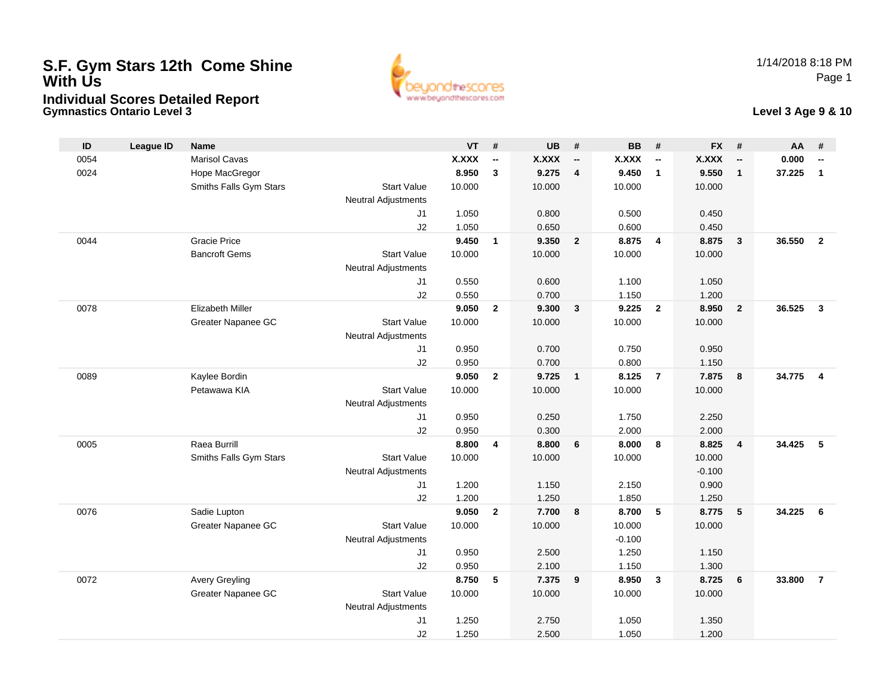# **S.F. Gym Stars 12th Come Shine With UsIndividual Scores Detailed Report**

**Gymnastics Ontario Level 3**





| ID   | <b>League ID</b> | <b>Name</b>             |                            | <b>VT</b>    | #                        | <b>UB</b>    | #                        | <b>BB</b>    | #                        | <b>FX</b>    | #                        | AA     | #                        |
|------|------------------|-------------------------|----------------------------|--------------|--------------------------|--------------|--------------------------|--------------|--------------------------|--------------|--------------------------|--------|--------------------------|
| 0054 |                  | <b>Marisol Cavas</b>    |                            | <b>X.XXX</b> | $\overline{\phantom{a}}$ | <b>X.XXX</b> | $\overline{\phantom{a}}$ | <b>X.XXX</b> | $\overline{\phantom{a}}$ | <b>X.XXX</b> | $\overline{\phantom{a}}$ | 0.000  | $\overline{\phantom{a}}$ |
| 0024 |                  | Hope MacGregor          |                            | 8.950        | $\mathbf{3}$             | 9.275        | $\overline{4}$           | 9.450        | $\overline{1}$           | 9.550        | $\mathbf{1}$             | 37.225 | $\mathbf{1}$             |
|      |                  | Smiths Falls Gym Stars  | <b>Start Value</b>         | 10.000       |                          | 10.000       |                          | 10.000       |                          | 10.000       |                          |        |                          |
|      |                  |                         | <b>Neutral Adjustments</b> |              |                          |              |                          |              |                          |              |                          |        |                          |
|      |                  |                         | J1                         | 1.050        |                          | 0.800        |                          | 0.500        |                          | 0.450        |                          |        |                          |
|      |                  |                         | J2                         | 1.050        |                          | 0.650        |                          | 0.600        |                          | 0.450        |                          |        |                          |
| 0044 |                  | <b>Gracie Price</b>     |                            | 9.450        | $\mathbf{1}$             | 9.350        | $\overline{2}$           | 8.875        | $\overline{4}$           | 8.875        | $\overline{3}$           | 36.550 | $\overline{2}$           |
|      |                  | <b>Bancroft Gems</b>    | <b>Start Value</b>         | 10.000       |                          | 10.000       |                          | 10.000       |                          | 10.000       |                          |        |                          |
|      |                  |                         | <b>Neutral Adjustments</b> |              |                          |              |                          |              |                          |              |                          |        |                          |
|      |                  |                         | J1                         | 0.550        |                          | 0.600        |                          | 1.100        |                          | 1.050        |                          |        |                          |
|      |                  |                         | J2                         | 0.550        |                          | 0.700        |                          | 1.150        |                          | 1.200        |                          |        |                          |
| 0078 |                  | <b>Elizabeth Miller</b> |                            | 9.050        | $\mathbf{2}$             | 9.300        | $\mathbf{3}$             | 9.225        | $\overline{\mathbf{2}}$  | 8.950        | $\overline{2}$           | 36.525 | $\mathbf{3}$             |
|      |                  | Greater Napanee GC      | <b>Start Value</b>         | 10.000       |                          | 10.000       |                          | 10.000       |                          | 10.000       |                          |        |                          |
|      |                  |                         | <b>Neutral Adjustments</b> |              |                          |              |                          |              |                          |              |                          |        |                          |
|      |                  |                         | J1                         | 0.950        |                          | 0.700        |                          | 0.750        |                          | 0.950        |                          |        |                          |
|      |                  |                         | J2                         | 0.950        |                          | 0.700        |                          | 0.800        |                          | 1.150        |                          |        |                          |
| 0089 |                  | Kaylee Bordin           |                            | 9.050        | $\mathbf{2}$             | 9.725        | $\overline{1}$           | 8.125        | $\overline{7}$           | 7.875        | 8                        | 34.775 | $\overline{4}$           |
|      |                  | Petawawa KIA            | <b>Start Value</b>         | 10.000       |                          | 10.000       |                          | 10.000       |                          | 10.000       |                          |        |                          |
|      |                  |                         | <b>Neutral Adjustments</b> |              |                          |              |                          |              |                          |              |                          |        |                          |
|      |                  |                         | J1                         | 0.950        |                          | 0.250        |                          | 1.750        |                          | 2.250        |                          |        |                          |
|      |                  |                         | J2                         | 0.950        |                          | 0.300        |                          | 2.000        |                          | 2.000        |                          |        |                          |
| 0005 |                  | Raea Burrill            |                            | 8.800        | $\overline{\mathbf{4}}$  | 8.800        | 6                        | 8.000        | 8                        | 8.825        | $\overline{4}$           | 34.425 | 5                        |
|      |                  | Smiths Falls Gym Stars  | <b>Start Value</b>         | 10.000       |                          | 10.000       |                          | 10.000       |                          | 10.000       |                          |        |                          |
|      |                  |                         | <b>Neutral Adjustments</b> |              |                          |              |                          |              |                          | $-0.100$     |                          |        |                          |
|      |                  |                         | J1                         | 1.200        |                          | 1.150        |                          | 2.150        |                          | 0.900        |                          |        |                          |
|      |                  |                         | J2                         | 1.200        |                          | 1.250        |                          | 1.850        |                          | 1.250        |                          |        |                          |
| 0076 |                  | Sadie Lupton            |                            | 9.050        | $\overline{2}$           | 7.700        | 8                        | 8.700        | 5                        | 8.775        | 5                        | 34.225 | 6                        |
|      |                  | Greater Napanee GC      | <b>Start Value</b>         | 10.000       |                          | 10.000       |                          | 10.000       |                          | 10.000       |                          |        |                          |
|      |                  |                         | <b>Neutral Adjustments</b> |              |                          |              |                          | $-0.100$     |                          |              |                          |        |                          |
|      |                  |                         | J1                         | 0.950        |                          | 2.500        |                          | 1.250        |                          | 1.150        |                          |        |                          |
|      |                  |                         | J2                         | 0.950        |                          | 2.100        |                          | 1.150        |                          | 1.300        |                          |        |                          |
| 0072 |                  | <b>Avery Greyling</b>   |                            | 8.750        | 5                        | 7.375        | 9                        | 8.950        | $\overline{\mathbf{3}}$  | 8.725        | 6                        | 33.800 | $\overline{7}$           |
|      |                  | Greater Napanee GC      | <b>Start Value</b>         | 10.000       |                          | 10.000       |                          | 10.000       |                          | 10.000       |                          |        |                          |
|      |                  |                         | <b>Neutral Adjustments</b> |              |                          |              |                          |              |                          |              |                          |        |                          |
|      |                  |                         | J <sub>1</sub>             | 1.250        |                          | 2.750        |                          | 1.050        |                          | 1.350        |                          |        |                          |
|      |                  |                         | J2                         | 1.250        |                          | 2.500        |                          | 1.050        |                          | 1.200        |                          |        |                          |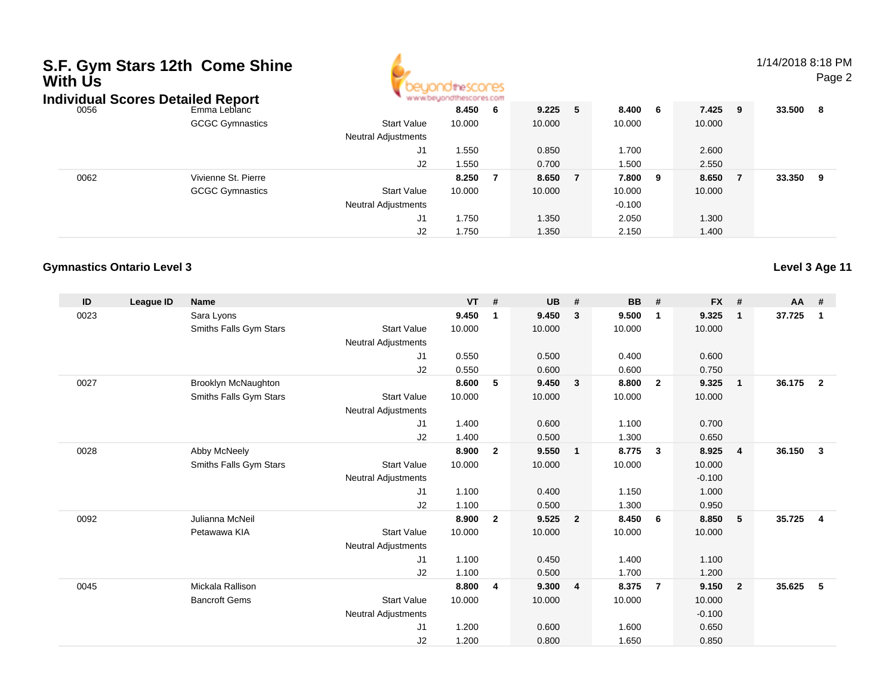| S.F. Gym Stars 12th Come Shine<br>With Us<br><b>Individual Scores Detailed Report</b> |                        |                                                  |                |     |                |   | 1/14/2018 8:18 PM<br>Page 2 |     |                |   |          |  |
|---------------------------------------------------------------------------------------|------------------------|--------------------------------------------------|----------------|-----|----------------|---|-----------------------------|-----|----------------|---|----------|--|
| 0056                                                                                  | Emma Leblanc           |                                                  | 8.450          | - 6 | 9.225          | 5 | 8.400                       | - 6 | 7.425 9        |   | 33.500 8 |  |
|                                                                                       | <b>GCGC Gymnastics</b> | <b>Start Value</b><br><b>Neutral Adjustments</b> | 10.000         |     | 10.000         |   | 10.000                      |     | 10.000         |   |          |  |
|                                                                                       |                        | J1<br>J2                                         | 1.550<br>1.550 |     | 0.850<br>0.700 |   | 1.700<br>1.500              |     | 2.600<br>2.550 |   |          |  |
| 0062                                                                                  | Vivienne St. Pierre    |                                                  | 8.250          | - 7 | 8.650          |   | 7.800                       | - 9 | 8.650          | 7 | 33.350 9 |  |
|                                                                                       | <b>GCGC Gymnastics</b> | <b>Start Value</b><br><b>Neutral Adjustments</b> | 10.000         |     | 10.000         |   | 10.000<br>$-0.100$          |     | 10.000         |   |          |  |
|                                                                                       |                        | J1                                               | 1.750          |     | 1.350          |   | 2.050                       |     | 1.300          |   |          |  |
|                                                                                       |                        | J2                                               | 1.750          |     | 1.350          |   | 2.150                       |     | 1.400          |   |          |  |

### **Gymnastics Ontario Level 3**

| ID   | League ID | <b>Name</b>            |                            | <b>VT</b> | #              | <b>UB</b> | #                       | <b>BB</b> | #                       | <b>FX</b> | #                       | <b>AA</b> | #              |
|------|-----------|------------------------|----------------------------|-----------|----------------|-----------|-------------------------|-----------|-------------------------|-----------|-------------------------|-----------|----------------|
| 0023 |           | Sara Lyons             |                            | 9.450     | $\mathbf 1$    | 9.450     | 3                       | 9.500     | -1                      | 9.325     | $\mathbf{1}$            | 37.725    | $\mathbf 1$    |
|      |           | Smiths Falls Gym Stars | <b>Start Value</b>         | 10.000    |                | 10.000    |                         | 10.000    |                         | 10.000    |                         |           |                |
|      |           |                        | Neutral Adjustments        |           |                |           |                         |           |                         |           |                         |           |                |
|      |           |                        | J1                         | 0.550     |                | 0.500     |                         | 0.400     |                         | 0.600     |                         |           |                |
|      |           |                        | J2                         | 0.550     |                | 0.600     |                         | 0.600     |                         | 0.750     |                         |           |                |
| 0027 |           | Brooklyn McNaughton    |                            | 8.600     | 5              | 9.450     | $\overline{\mathbf{3}}$ | 8.800     | $\overline{\mathbf{2}}$ | 9.325     | $\overline{\mathbf{1}}$ | 36.175    | $\mathbf{2}$   |
|      |           | Smiths Falls Gym Stars | <b>Start Value</b>         | 10.000    |                | 10.000    |                         | 10.000    |                         | 10.000    |                         |           |                |
|      |           |                        | <b>Neutral Adjustments</b> |           |                |           |                         |           |                         |           |                         |           |                |
|      |           |                        | J1                         | 1.400     |                | 0.600     |                         | 1.100     |                         | 0.700     |                         |           |                |
|      |           |                        | J2                         | 1.400     |                | 0.500     |                         | 1.300     |                         | 0.650     |                         |           |                |
| 0028 |           | Abby McNeely           |                            | 8.900     | $\overline{2}$ | 9.550     | $\overline{1}$          | 8.775     | $\overline{\mathbf{3}}$ | 8.925     | $\overline{4}$          | 36.150    | $\mathbf{3}$   |
|      |           | Smiths Falls Gym Stars | <b>Start Value</b>         | 10.000    |                | 10.000    |                         | 10.000    |                         | 10.000    |                         |           |                |
|      |           |                        | <b>Neutral Adjustments</b> |           |                |           |                         |           |                         | $-0.100$  |                         |           |                |
|      |           |                        | J1                         | 1.100     |                | 0.400     |                         | 1.150     |                         | 1.000     |                         |           |                |
|      |           |                        | J2                         | 1.100     |                | 0.500     |                         | 1.300     |                         | 0.950     |                         |           |                |
| 0092 |           | Julianna McNeil        |                            | 8.900     | $\overline{2}$ | 9.525     | $\overline{2}$          | 8.450     | 6                       | 8.850     | 5                       | 35.725    | $\overline{4}$ |
|      |           | Petawawa KIA           | <b>Start Value</b>         | 10.000    |                | 10.000    |                         | 10.000    |                         | 10.000    |                         |           |                |
|      |           |                        | <b>Neutral Adjustments</b> |           |                |           |                         |           |                         |           |                         |           |                |
|      |           |                        | J1                         | 1.100     |                | 0.450     |                         | 1.400     |                         | 1.100     |                         |           |                |
|      |           |                        | J2                         | 1.100     |                | 0.500     |                         | 1.700     |                         | 1.200     |                         |           |                |
| 0045 |           | Mickala Rallison       |                            | 8.800     | 4              | 9.300     | $\overline{4}$          | 8.375     | $\overline{7}$          | 9.150     | $\overline{2}$          | 35.625    | 5              |
|      |           | <b>Bancroft Gems</b>   | <b>Start Value</b>         | 10.000    |                | 10.000    |                         | 10.000    |                         | 10.000    |                         |           |                |
|      |           |                        | <b>Neutral Adjustments</b> |           |                |           |                         |           |                         | $-0.100$  |                         |           |                |
|      |           |                        | J1                         | 1.200     |                | 0.600     |                         | 1.600     |                         | 0.650     |                         |           |                |
|      |           |                        | J2                         | 1.200     |                | 0.800     |                         | 1.650     |                         | 0.850     |                         |           |                |
|      |           |                        |                            |           |                |           |                         |           |                         |           |                         |           |                |

**Level 3 Age 11**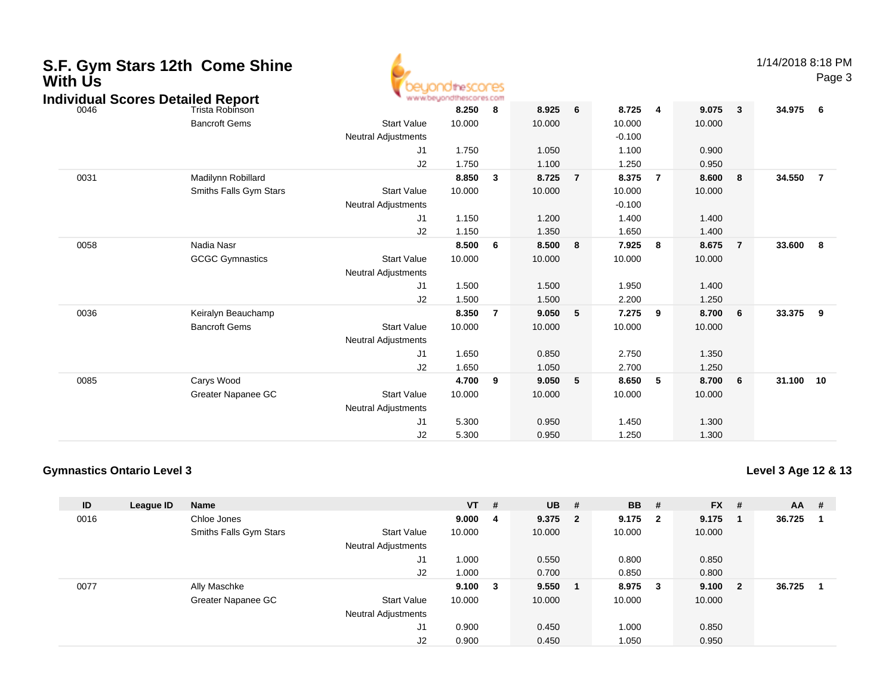| S.F. Gym Stars 12th Come Shine<br><b>With Us</b><br><b>Individual Scores Detailed Report</b> |                                         |                                                    | beuondthescores<br>www.beyondthescores.com |                |                 |                |                            |                |                                            |        |        | 1/14/2018 8:18 PM<br>Page 3 |
|----------------------------------------------------------------------------------------------|-----------------------------------------|----------------------------------------------------|--------------------------------------------|----------------|-----------------|----------------|----------------------------|----------------|--------------------------------------------|--------|--------|-----------------------------|
| 0046                                                                                         | Trista Robinson<br><b>Bancroft Gems</b> | <b>Start Value</b>                                 | 8.250<br>10.000                            | 8              | 8.925<br>10.000 | 6              | 8.725<br>10.000            | $\overline{4}$ | 9.075<br>$\overline{\mathbf{3}}$<br>10.000 | 34.975 |        | 6                           |
|                                                                                              |                                         | <b>Neutral Adjustments</b><br>J <sub>1</sub><br>J2 | 1.750<br>1.750                             |                | 1.050<br>1.100  |                | $-0.100$<br>1.100<br>1.250 |                | 0.900<br>0.950                             |        |        |                             |
| 0031                                                                                         | Madilynn Robillard                      |                                                    | 8.850                                      | 3              | 8.725           | $\overline{7}$ | 8.375                      | $\overline{7}$ | 8.600<br>8                                 | 34.550 |        | $\overline{7}$              |
|                                                                                              | Smiths Falls Gym Stars                  | <b>Start Value</b><br><b>Neutral Adjustments</b>   | 10.000                                     |                | 10.000          |                | 10.000<br>$-0.100$         |                | 10.000                                     |        |        |                             |
|                                                                                              |                                         | J <sub>1</sub>                                     | 1.150                                      |                | 1.200           |                | 1.400                      |                | 1.400                                      |        |        |                             |
|                                                                                              |                                         | J2                                                 | 1.150                                      |                | 1.350           |                | 1.650                      |                | 1.400                                      |        |        |                             |
| 0058                                                                                         | Nadia Nasr                              |                                                    | 8.500                                      | 6              | 8.500           | 8              | 7.925                      | 8              | 8.675<br>$\overline{7}$                    | 33.600 |        | 8                           |
|                                                                                              | <b>GCGC Gymnastics</b>                  | <b>Start Value</b><br><b>Neutral Adjustments</b>   | 10.000                                     |                | 10.000          |                | 10.000                     |                | 10.000                                     |        |        |                             |
|                                                                                              |                                         | J <sub>1</sub>                                     | 1.500                                      |                | 1.500           |                | 1.950                      |                | 1.400                                      |        |        |                             |
|                                                                                              |                                         | J2                                                 | 1.500                                      |                | 1.500           |                | 2.200                      |                | 1.250                                      |        |        |                             |
| 0036                                                                                         | Keiralyn Beauchamp                      |                                                    | 8.350                                      | $\overline{7}$ | 9.050           | 5              | 7.275                      | 9              | 8.700<br>6                                 | 33.375 |        | 9                           |
|                                                                                              | <b>Bancroft Gems</b>                    | <b>Start Value</b><br><b>Neutral Adjustments</b>   | 10.000                                     |                | 10.000          |                | 10.000                     |                | 10.000                                     |        |        |                             |
|                                                                                              |                                         | J <sub>1</sub>                                     | 1.650                                      |                | 0.850           |                | 2.750                      |                | 1.350                                      |        |        |                             |
|                                                                                              |                                         | J2                                                 | 1.650                                      |                | 1.050           |                | 2.700                      |                | 1.250                                      |        |        |                             |
| 0085                                                                                         | Carys Wood                              |                                                    | 4.700                                      | 9              | 9.050           | 5              | 8.650                      | 5              | 8.700<br>6                                 |        | 31.100 | 10                          |
|                                                                                              | Greater Napanee GC                      | <b>Start Value</b><br><b>Neutral Adjustments</b>   | 10.000                                     |                | 10.000          |                | 10.000                     |                | 10.000                                     |        |        |                             |
|                                                                                              |                                         | J1                                                 | 5.300                                      |                | 0.950           |                | 1.450                      |                | 1.300                                      |        |        |                             |
|                                                                                              |                                         | J2                                                 | 5.300                                      |                | 0.950           |                | 1.250                      |                | 1.300                                      |        |        |                             |

#### **Gymnastics Ontario Level 3**

**Level 3 Age 12 & 13**

| ID   | League ID | <b>Name</b>            |                            | <b>VT</b> | #                       | <b>UB</b> | #                       | <b>BB</b> | #            | $FX$ # |                | AA     | - # |
|------|-----------|------------------------|----------------------------|-----------|-------------------------|-----------|-------------------------|-----------|--------------|--------|----------------|--------|-----|
| 0016 |           | Chloe Jones            |                            | 9.000     | - 4                     | 9.375     | $\overline{\mathbf{2}}$ | 9.175     | $\mathbf{2}$ | 9.175  |                | 36.725 |     |
|      |           | Smiths Falls Gym Stars | <b>Start Value</b>         | 10.000    |                         | 10.000    |                         | 10.000    |              | 10.000 |                |        |     |
|      |           |                        | <b>Neutral Adjustments</b> |           |                         |           |                         |           |              |        |                |        |     |
|      |           |                        | J <sub>1</sub>             | 1.000     |                         | 0.550     |                         | 0.800     |              | 0.850  |                |        |     |
|      |           |                        | J2                         | 1.000     |                         | 0.700     |                         | 0.850     |              | 0.800  |                |        |     |
| 0077 |           | Ally Maschke           |                            | 9.100     | $\overline{\mathbf{3}}$ | 9.550     | - 1                     | 8.975     | 3            | 9.100  | $\overline{2}$ | 36.725 |     |
|      |           | Greater Napanee GC     | <b>Start Value</b>         | 10.000    |                         | 10.000    |                         | 10.000    |              | 10.000 |                |        |     |
|      |           |                        | <b>Neutral Adjustments</b> |           |                         |           |                         |           |              |        |                |        |     |
|      |           |                        | J <sub>1</sub>             | 0.900     |                         | 0.450     |                         | 1.000     |              | 0.850  |                |        |     |
|      |           |                        | J <sub>2</sub>             | 0.900     |                         | 0.450     |                         | 1.050     |              | 0.950  |                |        |     |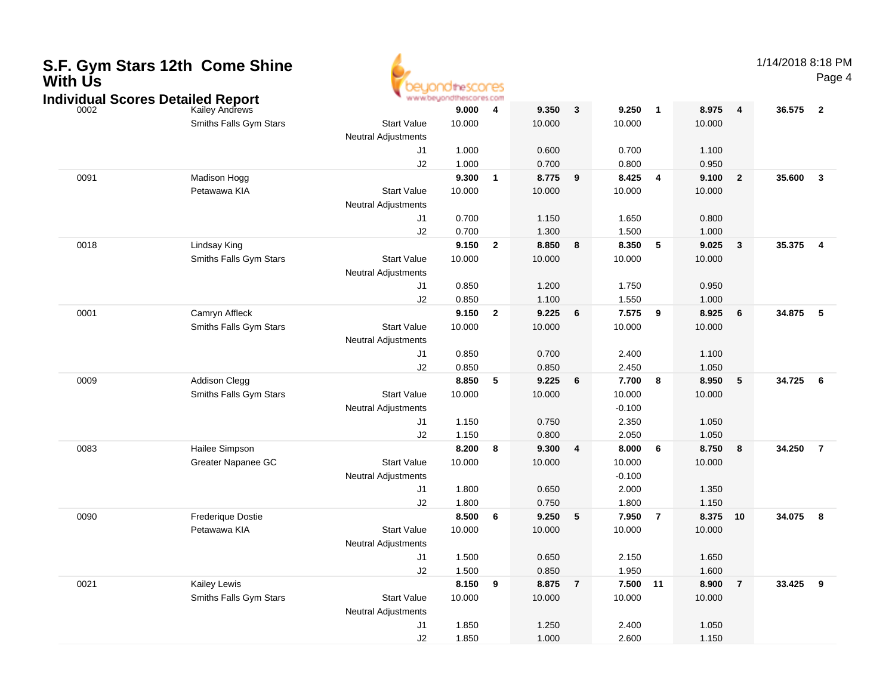| <b>With Us</b> | <b>J.F. OYIN JIAIS TZUI COME JIME</b>    |                            |                         |                         |                |                 |                |                         |                |                |        | Pag                     |
|----------------|------------------------------------------|----------------------------|-------------------------|-------------------------|----------------|-----------------|----------------|-------------------------|----------------|----------------|--------|-------------------------|
|                | <b>Individual Scores Detailed Report</b> |                            | www.beyondthescores.com |                         |                |                 |                |                         |                |                |        |                         |
| 0002           | Kailey Andrews                           |                            | 9.000                   | 4                       | 9.350          | $\mathbf{3}$    | 9.250          | $\overline{\mathbf{1}}$ | 8.975          | $\overline{4}$ | 36.575 | $\overline{\mathbf{2}}$ |
|                | Smiths Falls Gym Stars                   | <b>Start Value</b>         | 10.000                  |                         | 10.000         |                 | 10.000         |                         | 10.000         |                |        |                         |
|                |                                          | <b>Neutral Adjustments</b> |                         |                         |                |                 |                |                         |                |                |        |                         |
|                |                                          | J1                         | 1.000                   |                         | 0.600          |                 | 0.700          |                         | 1.100          |                |        |                         |
|                |                                          | J2                         | 1.000                   |                         | 0.700          |                 | 0.800          |                         | 0.950          |                |        |                         |
| 0091           | Madison Hogg                             |                            | 9.300                   | $\mathbf{1}$            | 8.775          | 9               | 8.425          | 4                       | 9.100          | $\overline{2}$ | 35.600 | $\overline{\mathbf{3}}$ |
|                | Petawawa KIA                             | <b>Start Value</b>         | 10.000                  |                         | 10.000         |                 | 10.000         |                         | 10.000         |                |        |                         |
|                |                                          | Neutral Adjustments        |                         |                         |                |                 |                |                         |                |                |        |                         |
|                |                                          | J <sub>1</sub>             | 0.700                   |                         | 1.150          |                 | 1.650          |                         | 0.800          |                |        |                         |
|                | Lindsay King                             | J2                         | 0.700<br>9.150          |                         | 1.300<br>8.850 |                 | 1.500<br>8.350 | $5\phantom{.0}$         | 1.000<br>9.025 |                | 35.375 |                         |
| 0018           | Smiths Falls Gym Stars                   | <b>Start Value</b>         | 10.000                  | $\overline{\mathbf{2}}$ | 10.000         | 8               | 10.000         |                         | 10.000         | $\mathbf{3}$   |        | $\overline{\mathbf{4}}$ |
|                |                                          | <b>Neutral Adjustments</b> |                         |                         |                |                 |                |                         |                |                |        |                         |
|                |                                          | J1                         | 0.850                   |                         | 1.200          |                 | 1.750          |                         | 0.950          |                |        |                         |
|                |                                          | J2                         | 0.850                   |                         | 1.100          |                 | 1.550          |                         | 1.000          |                |        |                         |
| 0001           | Camryn Affleck                           |                            | 9.150                   | $\overline{\mathbf{2}}$ | 9.225          | 6               | 7.575          | 9                       | 8.925          | $\bf 6$        | 34.875 | -5                      |
|                | Smiths Falls Gym Stars                   | <b>Start Value</b>         | 10.000                  |                         | 10.000         |                 | 10.000         |                         | 10.000         |                |        |                         |
|                |                                          | <b>Neutral Adjustments</b> |                         |                         |                |                 |                |                         |                |                |        |                         |
|                |                                          | J1                         | 0.850                   |                         | 0.700          |                 | 2.400          |                         | 1.100          |                |        |                         |
|                |                                          | J2                         | 0.850                   |                         | 0.850          |                 | 2.450          |                         | 1.050          |                |        |                         |
| 0009           | <b>Addison Clegg</b>                     |                            | 8.850                   | 5                       | 9.225          | 6               | 7.700          | 8                       | 8.950          | 5              | 34.725 | $6\overline{6}$         |
|                | Smiths Falls Gym Stars                   | <b>Start Value</b>         | 10.000                  |                         | 10.000         |                 | 10.000         |                         | 10.000         |                |        |                         |
|                |                                          | Neutral Adjustments        |                         |                         |                |                 | $-0.100$       |                         |                |                |        |                         |
|                |                                          | J1                         | 1.150                   |                         | 0.750          |                 | 2.350          |                         | 1.050          |                |        |                         |
|                |                                          | J2                         | 1.150                   |                         | 0.800          |                 | 2.050          |                         | 1.050          |                |        |                         |
| 0083           | Hailee Simpson                           |                            | 8.200                   | 8                       | 9.300          | 4               | 8.000          | 6                       | 8.750          | 8              | 34.250 | $\overline{7}$          |
|                | Greater Napanee GC                       | <b>Start Value</b>         | 10.000                  |                         | 10.000         |                 | 10.000         |                         | 10.000         |                |        |                         |
|                |                                          | <b>Neutral Adjustments</b> |                         |                         |                |                 | $-0.100$       |                         |                |                |        |                         |
|                |                                          | J1                         | 1.800                   |                         | 0.650          |                 | 2.000          |                         | 1.350          |                |        |                         |
|                |                                          | J2                         | 1.800                   |                         | 0.750          |                 | 1.800          |                         | 1.150          |                |        |                         |
| 0090           | <b>Frederique Dostie</b>                 |                            | 8.500                   | 6                       | 9.250          | $5\phantom{.0}$ | 7.950          | $\overline{7}$          | 8.375          | 10             | 34.075 | $\overline{\mathbf{8}}$ |
|                | Petawawa KIA                             | <b>Start Value</b>         | 10.000                  |                         | 10.000         |                 | 10.000         |                         | 10.000         |                |        |                         |
|                |                                          | <b>Neutral Adjustments</b> |                         |                         |                |                 |                |                         |                |                |        |                         |
|                |                                          | J <sub>1</sub>             | 1.500                   |                         | 0.650          |                 | 2.150          |                         | 1.650          |                |        |                         |
|                |                                          | J2                         | 1.500                   |                         | 0.850          |                 | 1.950          |                         | 1.600          |                |        |                         |
| 0021           | <b>Kailey Lewis</b>                      |                            | 8.150                   | 9                       | 8.875          | $\overline{7}$  | 7.500 11       |                         | 8.900          | $\overline{7}$ | 33.425 | $_{9}$                  |
|                | Smiths Falls Gym Stars                   | <b>Start Value</b>         | 10.000                  |                         | 10.000         |                 | 10.000         |                         | 10.000         |                |        |                         |
|                |                                          | Neutral Adjustments        |                         |                         |                |                 |                |                         |                |                |        |                         |
|                |                                          | J <sub>1</sub>             | 1.850                   |                         | 1.250          |                 | 2.400          |                         | 1.050          |                |        |                         |
|                |                                          | J2                         | 1.850                   |                         | 1.000          |                 | 2.600          |                         | 1.150          |                |        |                         |

# **S.F. Gym Stars 12th Come Shine**

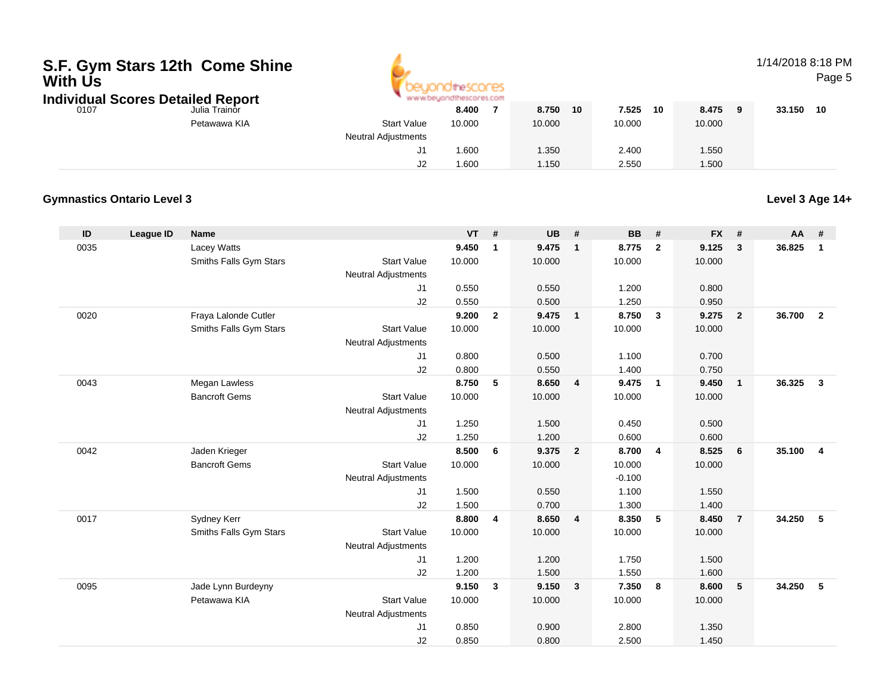# **S.F. Gym Stars 12th Come Shine With Us**

**Individual Scores Detailed Report**



## 1/14/2018 8:18 PM

Page 5

| idividual Scores Detailed Report |               |                            | and a set a statement of the control and a set of the control of the set of the control of |        |    |        |    |        |        |    |
|----------------------------------|---------------|----------------------------|--------------------------------------------------------------------------------------------|--------|----|--------|----|--------|--------|----|
| 0107                             | Julia Trainor |                            | 8.400                                                                                      | 8.750  | 10 | 7.525  | 10 | 8.475  | 33.150 | 10 |
|                                  | Petawawa KIA  | <b>Start Value</b>         | 10.000                                                                                     | 10.000 |    | 10.000 |    | 10.000 |        |    |
|                                  |               | <b>Neutral Adjustments</b> |                                                                                            |        |    |        |    |        |        |    |
|                                  |               | ັ                          | .600                                                                                       | 1.350  |    | 2.400  |    | 1.550  |        |    |
|                                  |               | מו<br>JZ                   | .600                                                                                       | 1.150  |    | 2.550  |    | 1.500  |        |    |

#### **Gymnastics Ontario Level 3**

**Level 3 Age 14+**

| ID   | <b>League ID</b> | <b>Name</b>            |                            | <b>VT</b> | #              | <b>UB</b> | #                       | <b>BB</b> | #                       | <b>FX</b> | #              | AA     | #              |
|------|------------------|------------------------|----------------------------|-----------|----------------|-----------|-------------------------|-----------|-------------------------|-----------|----------------|--------|----------------|
| 0035 |                  | Lacey Watts            |                            | 9.450     | $\mathbf{1}$   | 9.475     | $\mathbf{1}$            | 8.775     | $\overline{2}$          | 9.125     | 3              | 36.825 | $\mathbf{1}$   |
|      |                  | Smiths Falls Gym Stars | <b>Start Value</b>         | 10.000    |                | 10.000    |                         | 10.000    |                         | 10.000    |                |        |                |
|      |                  |                        | <b>Neutral Adjustments</b> |           |                |           |                         |           |                         |           |                |        |                |
|      |                  |                        | J1                         | 0.550     |                | 0.550     |                         | 1.200     |                         | 0.800     |                |        |                |
|      |                  |                        | J2                         | 0.550     |                | 0.500     |                         | 1.250     |                         | 0.950     |                |        |                |
| 0020 |                  | Fraya Lalonde Cutler   |                            | 9.200     | $\overline{2}$ | 9.475     | $\mathbf{1}$            | 8.750     | $\overline{\mathbf{3}}$ | 9.275     | $\overline{2}$ | 36.700 | $\overline{2}$ |
|      |                  | Smiths Falls Gym Stars | <b>Start Value</b>         | 10.000    |                | 10.000    |                         | 10.000    |                         | 10.000    |                |        |                |
|      |                  |                        | <b>Neutral Adjustments</b> |           |                |           |                         |           |                         |           |                |        |                |
|      |                  |                        | J1                         | 0.800     |                | 0.500     |                         | 1.100     |                         | 0.700     |                |        |                |
|      |                  |                        | J2                         | 0.800     |                | 0.550     |                         | 1.400     |                         | 0.750     |                |        |                |
| 0043 |                  | Megan Lawless          |                            | 8.750     | 5              | 8.650     | 4                       | 9.475     | $\overline{1}$          | 9.450     | $\overline{1}$ | 36.325 | $\mathbf{3}$   |
|      |                  | <b>Bancroft Gems</b>   | <b>Start Value</b>         | 10.000    |                | 10.000    |                         | 10.000    |                         | 10.000    |                |        |                |
|      |                  |                        | <b>Neutral Adjustments</b> |           |                |           |                         |           |                         |           |                |        |                |
|      |                  |                        | J1                         | 1.250     |                | 1.500     |                         | 0.450     |                         | 0.500     |                |        |                |
|      |                  |                        | J2                         | 1.250     |                | 1.200     |                         | 0.600     |                         | 0.600     |                |        |                |
| 0042 |                  | Jaden Krieger          |                            | 8.500     | 6              | 9.375     | $\overline{\mathbf{2}}$ | 8.700     | $\overline{4}$          | 8.525     | 6              | 35.100 | $\overline{4}$ |
|      |                  | <b>Bancroft Gems</b>   | <b>Start Value</b>         | 10.000    |                | 10.000    |                         | 10.000    |                         | 10.000    |                |        |                |
|      |                  |                        | <b>Neutral Adjustments</b> |           |                |           |                         | $-0.100$  |                         |           |                |        |                |
|      |                  |                        | J1                         | 1.500     |                | 0.550     |                         | 1.100     |                         | 1.550     |                |        |                |
|      |                  |                        | J2                         | 1.500     |                | 0.700     |                         | 1.300     |                         | 1.400     |                |        |                |
| 0017 |                  | Sydney Kerr            |                            | 8.800     | 4              | 8.650     | $\overline{4}$          | 8.350     | 5                       | 8.450     | $\overline{7}$ | 34.250 | 5              |
|      |                  | Smiths Falls Gym Stars | <b>Start Value</b>         | 10.000    |                | 10.000    |                         | 10.000    |                         | 10.000    |                |        |                |
|      |                  |                        | <b>Neutral Adjustments</b> |           |                |           |                         |           |                         |           |                |        |                |
|      |                  |                        | J1                         | 1.200     |                | 1.200     |                         | 1.750     |                         | 1.500     |                |        |                |
|      |                  |                        | J2                         | 1.200     |                | 1.500     |                         | 1.550     |                         | 1.600     |                |        |                |
| 0095 |                  | Jade Lynn Burdeyny     |                            | 9.150     | $\mathbf{3}$   | 9.150     | $\overline{\mathbf{3}}$ | 7.350     | $\overline{\mathbf{8}}$ | 8.600     | 5              | 34.250 | 5              |
|      |                  | Petawawa KIA           | <b>Start Value</b>         | 10.000    |                | 10.000    |                         | 10.000    |                         | 10.000    |                |        |                |
|      |                  |                        | Neutral Adjustments        |           |                |           |                         |           |                         |           |                |        |                |
|      |                  |                        | J1                         | 0.850     |                | 0.900     |                         | 2.800     |                         | 1.350     |                |        |                |
|      |                  |                        | J2                         | 0.850     |                | 0.800     |                         | 2.500     |                         | 1.450     |                |        |                |